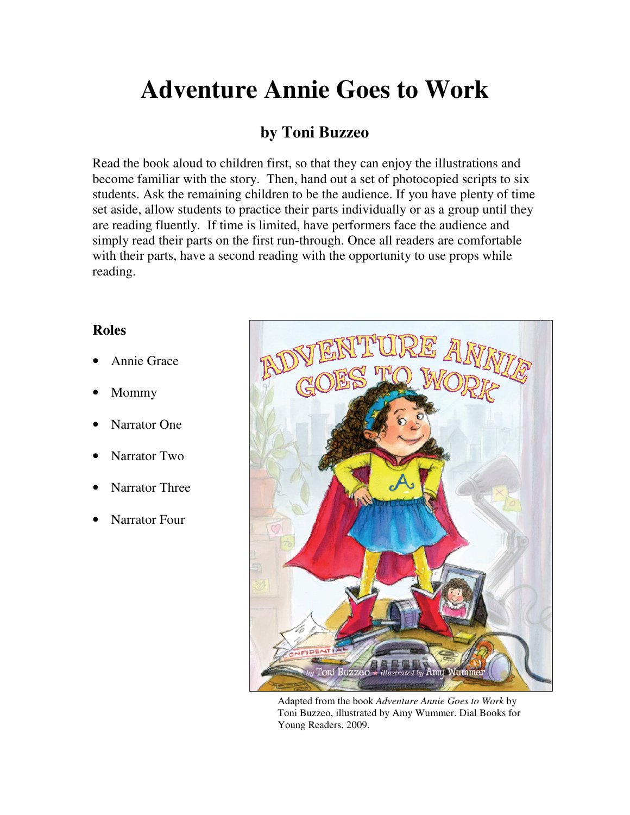## **Adventure Annie Goes to Work**

## **by Toni Buzzeo**

Read the book aloud to children first, so that they can enjoy the illustrations and become familiar with the story. Then, hand out a set of photocopied scripts to six students. Ask the remaining children to be the audience. If you have plenty of time set aside, allow students to practice their parts individually or as a group until they are reading fluently. If time is limited, have performers face the audience and simply read their parts on the first run-through. Once all readers are comfortable with their parts, have a second reading with the opportunity to use props while reading.

## **Roles**

- Annie Grace
- Mommy
- Narrator One
- Narrator Two
- Narrator Three
- Narrator Four



Adapted from the book *Adventure Annie Goes to Work* by Toni Buzzeo, illustrated by Amy Wummer. Dial Books for Young Readers, 2009.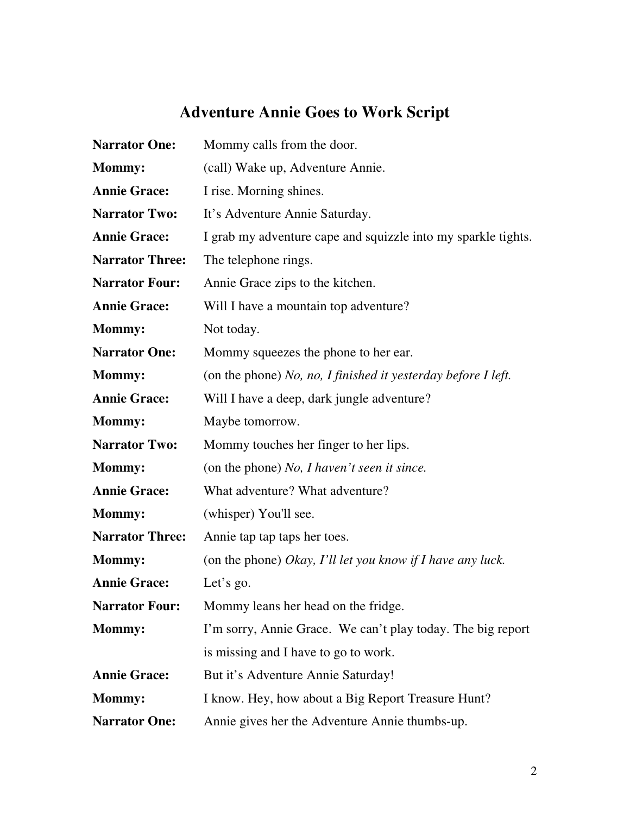## **Adventure Annie Goes to Work Script**

| <b>Narrator One:</b>   | Mommy calls from the door.                                    |
|------------------------|---------------------------------------------------------------|
| <b>Mommy:</b>          | (call) Wake up, Adventure Annie.                              |
| <b>Annie Grace:</b>    | I rise. Morning shines.                                       |
| <b>Narrator Two:</b>   | It's Adventure Annie Saturday.                                |
| <b>Annie Grace:</b>    | I grab my adventure cape and squizzle into my sparkle tights. |
| <b>Narrator Three:</b> | The telephone rings.                                          |
| <b>Narrator Four:</b>  | Annie Grace zips to the kitchen.                              |
| <b>Annie Grace:</b>    | Will I have a mountain top adventure?                         |
| <b>Mommy:</b>          | Not today.                                                    |
| <b>Narrator One:</b>   | Mommy squeezes the phone to her ear.                          |
| <b>Mommy:</b>          | (on the phone) No, no, I finished it yesterday before I left. |
| <b>Annie Grace:</b>    | Will I have a deep, dark jungle adventure?                    |
| <b>Mommy:</b>          | Maybe tomorrow.                                               |
| <b>Narrator Two:</b>   | Mommy touches her finger to her lips.                         |
| <b>Mommy:</b>          | (on the phone) No, I haven't seen it since.                   |
| <b>Annie Grace:</b>    | What adventure? What adventure?                               |
| <b>Mommy:</b>          | (whisper) You'll see.                                         |
| <b>Narrator Three:</b> | Annie tap tap taps her toes.                                  |
| <b>Mommy:</b>          | (on the phone) Okay, I'll let you know if I have any luck.    |
| <b>Annie Grace:</b>    | Let's go.                                                     |
| <b>Narrator Four:</b>  | Mommy leans her head on the fridge.                           |
| <b>Mommy:</b>          | I'm sorry, Annie Grace. We can't play today. The big report   |
|                        | is missing and I have to go to work.                          |
| <b>Annie Grace:</b>    | But it's Adventure Annie Saturday!                            |
| <b>Mommy:</b>          | I know. Hey, how about a Big Report Treasure Hunt?            |
| <b>Narrator One:</b>   | Annie gives her the Adventure Annie thumbs-up.                |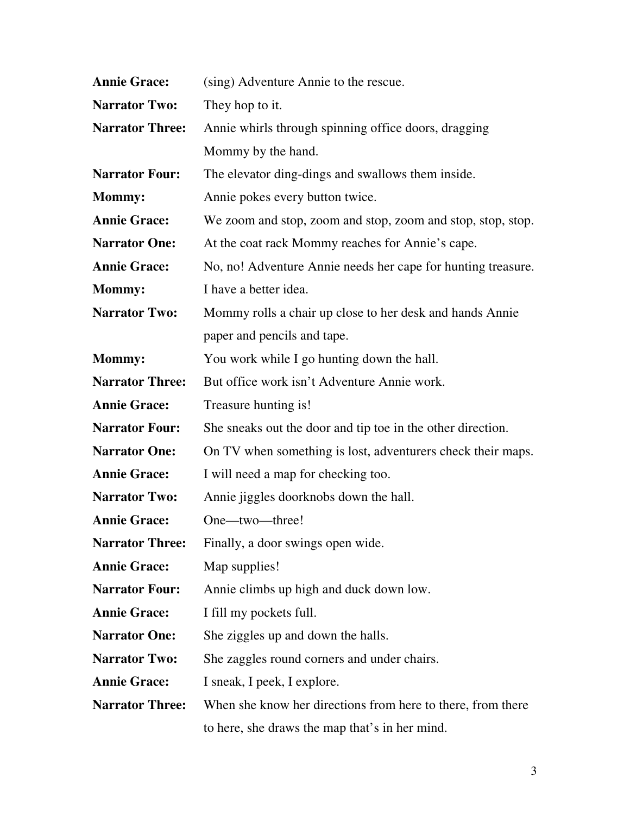| <b>Annie Grace:</b>    | (sing) Adventure Annie to the rescue.                        |
|------------------------|--------------------------------------------------------------|
| <b>Narrator Two:</b>   | They hop to it.                                              |
| <b>Narrator Three:</b> | Annie whirls through spinning office doors, dragging         |
|                        | Mommy by the hand.                                           |
| <b>Narrator Four:</b>  | The elevator ding-dings and swallows them inside.            |
| <b>Mommy:</b>          | Annie pokes every button twice.                              |
| <b>Annie Grace:</b>    | We zoom and stop, zoom and stop, zoom and stop, stop, stop.  |
| <b>Narrator One:</b>   | At the coat rack Mommy reaches for Annie's cape.             |
| <b>Annie Grace:</b>    | No, no! Adventure Annie needs her cape for hunting treasure. |
| <b>Mommy:</b>          | I have a better idea.                                        |
| <b>Narrator Two:</b>   | Mommy rolls a chair up close to her desk and hands Annie     |
|                        | paper and pencils and tape.                                  |
| Mommy:                 | You work while I go hunting down the hall.                   |
| <b>Narrator Three:</b> | But office work isn't Adventure Annie work.                  |
| <b>Annie Grace:</b>    | Treasure hunting is!                                         |
| <b>Narrator Four:</b>  | She sneaks out the door and tip toe in the other direction.  |
| <b>Narrator One:</b>   | On TV when something is lost, adventurers check their maps.  |
| <b>Annie Grace:</b>    | I will need a map for checking too.                          |
| <b>Narrator Two:</b>   | Annie jiggles doorknobs down the hall.                       |
| <b>Annie Grace:</b>    | One—two—three!                                               |
| <b>Narrator Three:</b> | Finally, a door swings open wide.                            |
| <b>Annie Grace:</b>    | Map supplies!                                                |
| <b>Narrator Four:</b>  | Annie climbs up high and duck down low.                      |
| <b>Annie Grace:</b>    | I fill my pockets full.                                      |
| <b>Narrator One:</b>   | She ziggles up and down the halls.                           |
| <b>Narrator Two:</b>   | She zaggles round corners and under chairs.                  |
| <b>Annie Grace:</b>    | I sneak, I peek, I explore.                                  |
| <b>Narrator Three:</b> | When she know her directions from here to there, from there  |
|                        | to here, she draws the map that's in her mind.               |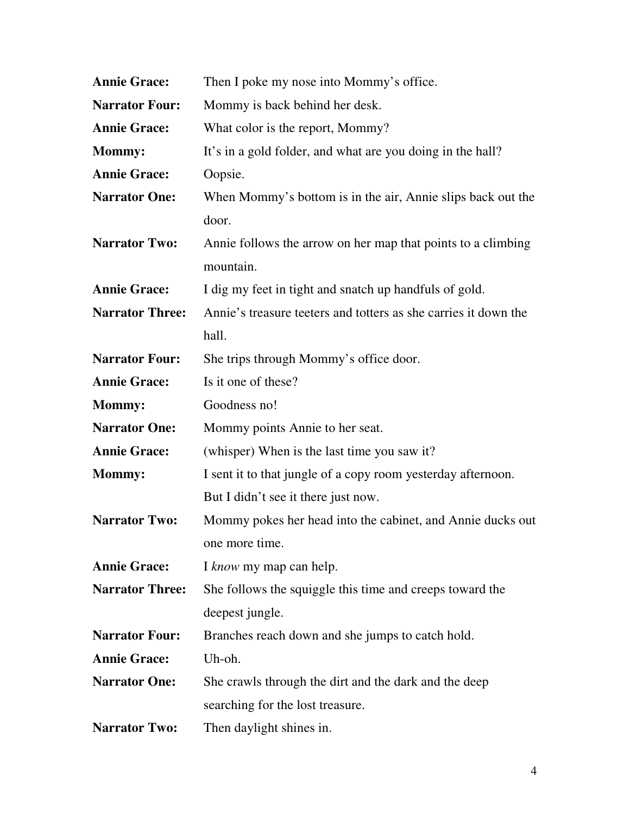| <b>Annie Grace:</b>    | Then I poke my nose into Mommy's office.                        |
|------------------------|-----------------------------------------------------------------|
| <b>Narrator Four:</b>  | Mommy is back behind her desk.                                  |
| <b>Annie Grace:</b>    | What color is the report, Mommy?                                |
| <b>Mommy:</b>          | It's in a gold folder, and what are you doing in the hall?      |
| <b>Annie Grace:</b>    | Oopsie.                                                         |
| <b>Narrator One:</b>   | When Mommy's bottom is in the air, Annie slips back out the     |
|                        | door.                                                           |
| <b>Narrator Two:</b>   | Annie follows the arrow on her map that points to a climbing    |
|                        | mountain.                                                       |
| <b>Annie Grace:</b>    | I dig my feet in tight and snatch up handfuls of gold.          |
| <b>Narrator Three:</b> | Annie's treasure teeters and totters as she carries it down the |
|                        | hall.                                                           |
| <b>Narrator Four:</b>  | She trips through Mommy's office door.                          |
| <b>Annie Grace:</b>    | Is it one of these?                                             |
| <b>Mommy:</b>          | Goodness no!                                                    |
| <b>Narrator One:</b>   | Mommy points Annie to her seat.                                 |
| <b>Annie Grace:</b>    | (whisper) When is the last time you saw it?                     |
| <b>Mommy:</b>          | I sent it to that jungle of a copy room yesterday afternoon.    |
|                        | But I didn't see it there just now.                             |
| <b>Narrator Two:</b>   | Mommy pokes her head into the cabinet, and Annie ducks out      |
|                        | one more time.                                                  |
| <b>Annie Grace:</b>    | I know my map can help.                                         |
| <b>Narrator Three:</b> | She follows the squiggle this time and creeps toward the        |
|                        | deepest jungle.                                                 |
| <b>Narrator Four:</b>  | Branches reach down and she jumps to catch hold.                |
| <b>Annie Grace:</b>    | Uh-oh.                                                          |
| <b>Narrator One:</b>   | She crawls through the dirt and the dark and the deep           |
|                        | searching for the lost treasure.                                |
| <b>Narrator Two:</b>   | Then daylight shines in.                                        |